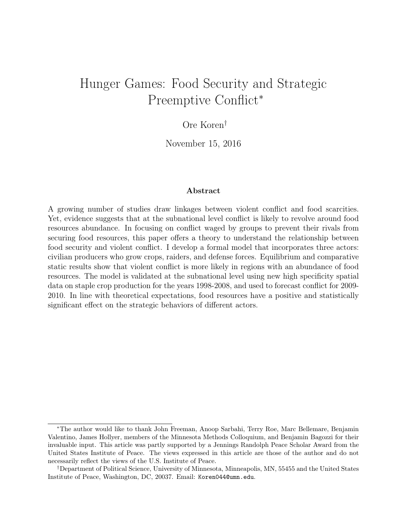# Hunger Games: Food Security and Strategic Preemptive Conflict<sup>\*</sup>

# Ore Koren†

November 15, 2016

#### Abstract

A growing number of studies draw linkages between violent conflict and food scarcities. Yet, evidence suggests that at the subnational level conflict is likely to revolve around food resources abundance. In focusing on conflict waged by groups to prevent their rivals from securing food resources, this paper offers a theory to understand the relationship between food security and violent conflict. I develop a formal model that incorporates three actors: civilian producers who grow crops, raiders, and defense forces. Equilibrium and comparative static results show that violent conflict is more likely in regions with an abundance of food resources. The model is validated at the subnational level using new high specificity spatial data on staple crop production for the years 1998-2008, and used to forecast conflict for 2009- 2010. In line with theoretical expectations, food resources have a positive and statistically significant effect on the strategic behaviors of different actors.

<sup>∗</sup>The author would like to thank John Freeman, Anoop Sarbahi, Terry Roe, Marc Bellemare, Benjamin Valentino, James Hollyer, members of the Minnesota Methods Colloquium, and Benjamin Bagozzi for their invaluable input. This article was partly supported by a Jennings Randolph Peace Scholar Award from the United States Institute of Peace. The views expressed in this article are those of the author and do not necessarily reflect the views of the U.S. Institute of Peace.

<sup>†</sup>Department of Political Science, University of Minnesota, Minneapolis, MN, 55455 and the United States Institute of Peace, Washington, DC, 20037. Email: Koren044@umn.edu.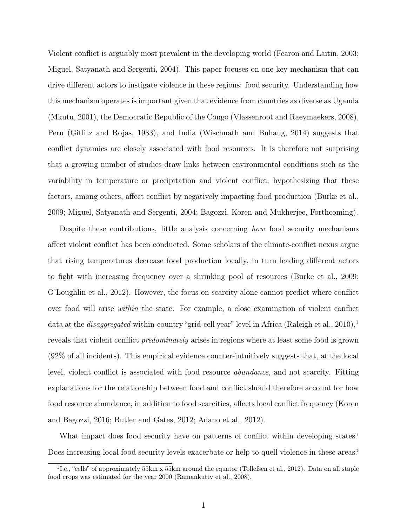Violent conflict is arguably most prevalent in the developing world (Fearon and Laitin, 2003; Miguel, Satyanath and Sergenti, 2004). This paper focuses on one key mechanism that can drive different actors to instigate violence in these regions: food security. Understanding how this mechanism operates is important given that evidence from countries as diverse as Uganda (Mkutu, 2001), the Democratic Republic of the Congo (Vlassenroot and Raeymaekers, 2008), Peru (Gitlitz and Rojas, 1983), and India (Wischnath and Buhaug, 2014) suggests that conflict dynamics are closely associated with food resources. It is therefore not surprising that a growing number of studies draw links between environmental conditions such as the variability in temperature or precipitation and violent conflict, hypothesizing that these factors, among others, affect conflict by negatively impacting food production (Burke et al., 2009; Miguel, Satyanath and Sergenti, 2004; Bagozzi, Koren and Mukherjee, Forthcoming).

Despite these contributions, little analysis concerning how food security mechanisms affect violent conflict has been conducted. Some scholars of the climate-conflict nexus argue that rising temperatures decrease food production locally, in turn leading different actors to fight with increasing frequency over a shrinking pool of resources (Burke et al., 2009; O'Loughlin et al., 2012). However, the focus on scarcity alone cannot predict where conflict over food will arise within the state. For example, a close examination of violent conflict data at the *disaggregated* within-country "grid-cell year" level in Africa (Raleigh et al., 2010),<sup>1</sup> reveals that violent conflict *predominately* arises in regions where at least some food is grown (92% of all incidents). This empirical evidence counter-intuitively suggests that, at the local level, violent conflict is associated with food resource abundance, and not scarcity. Fitting explanations for the relationship between food and conflict should therefore account for how food resource abundance, in addition to food scarcities, affects local conflict frequency (Koren and Bagozzi, 2016; Butler and Gates, 2012; Adano et al., 2012).

What impact does food security have on patterns of conflict within developing states? Does increasing local food security levels exacerbate or help to quell violence in these areas?

<sup>&</sup>lt;sup>1</sup>I.e., "cells" of approximately 55km x 55km around the equator (Tollefsen et al., 2012). Data on all staple food crops was estimated for the year 2000 (Ramankutty et al., 2008).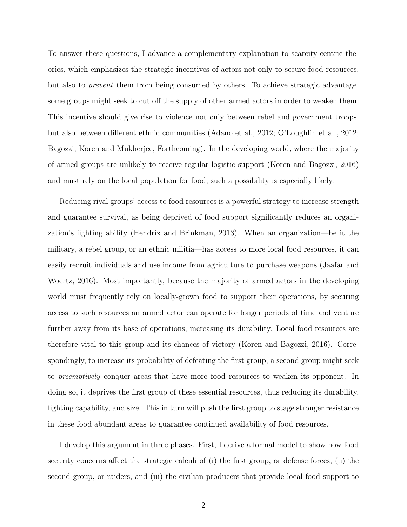To answer these questions, I advance a complementary explanation to scarcity-centric theories, which emphasizes the strategic incentives of actors not only to secure food resources, but also to prevent them from being consumed by others. To achieve strategic advantage, some groups might seek to cut off the supply of other armed actors in order to weaken them. This incentive should give rise to violence not only between rebel and government troops, but also between different ethnic communities (Adano et al., 2012; O'Loughlin et al., 2012; Bagozzi, Koren and Mukherjee, Forthcoming). In the developing world, where the majority of armed groups are unlikely to receive regular logistic support (Koren and Bagozzi, 2016) and must rely on the local population for food, such a possibility is especially likely.

Reducing rival groups' access to food resources is a powerful strategy to increase strength and guarantee survival, as being deprived of food support significantly reduces an organization's fighting ability (Hendrix and Brinkman, 2013). When an organization—be it the military, a rebel group, or an ethnic militia—has access to more local food resources, it can easily recruit individuals and use income from agriculture to purchase weapons (Jaafar and Woertz, 2016). Most importantly, because the majority of armed actors in the developing world must frequently rely on locally-grown food to support their operations, by securing access to such resources an armed actor can operate for longer periods of time and venture further away from its base of operations, increasing its durability. Local food resources are therefore vital to this group and its chances of victory (Koren and Bagozzi, 2016). Correspondingly, to increase its probability of defeating the first group, a second group might seek to preemptively conquer areas that have more food resources to weaken its opponent. In doing so, it deprives the first group of these essential resources, thus reducing its durability, fighting capability, and size. This in turn will push the first group to stage stronger resistance in these food abundant areas to guarantee continued availability of food resources.

I develop this argument in three phases. First, I derive a formal model to show how food security concerns affect the strategic calculi of (i) the first group, or defense forces, (ii) the second group, or raiders, and (iii) the civilian producers that provide local food support to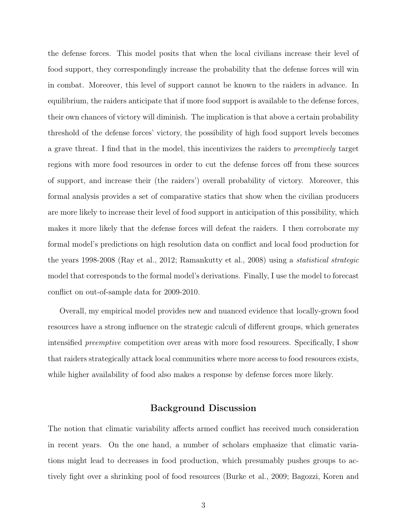the defense forces. This model posits that when the local civilians increase their level of food support, they correspondingly increase the probability that the defense forces will win in combat. Moreover, this level of support cannot be known to the raiders in advance. In equilibrium, the raiders anticipate that if more food support is available to the defense forces, their own chances of victory will diminish. The implication is that above a certain probability threshold of the defense forces' victory, the possibility of high food support levels becomes a grave threat. I find that in the model, this incentivizes the raiders to preemptively target regions with more food resources in order to cut the defense forces off from these sources of support, and increase their (the raiders') overall probability of victory. Moreover, this formal analysis provides a set of comparative statics that show when the civilian producers are more likely to increase their level of food support in anticipation of this possibility, which makes it more likely that the defense forces will defeat the raiders. I then corroborate my formal model's predictions on high resolution data on conflict and local food production for the years 1998-2008 (Ray et al., 2012; Ramankutty et al., 2008) using a statistical strategic model that corresponds to the formal model's derivations. Finally, I use the model to forecast conflict on out-of-sample data for 2009-2010.

Overall, my empirical model provides new and nuanced evidence that locally-grown food resources have a strong influence on the strategic calculi of different groups, which generates intensified preemptive competition over areas with more food resources. Specifically, I show that raiders strategically attack local communities where more access to food resources exists, while higher availability of food also makes a response by defense forces more likely.

# Background Discussion

The notion that climatic variability affects armed conflict has received much consideration in recent years. On the one hand, a number of scholars emphasize that climatic variations might lead to decreases in food production, which presumably pushes groups to actively fight over a shrinking pool of food resources (Burke et al., 2009; Bagozzi, Koren and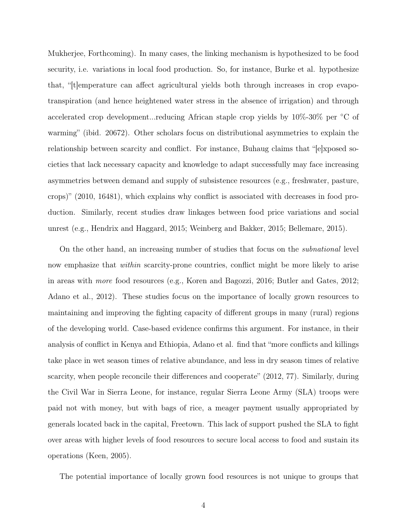Mukherjee, Forthcoming). In many cases, the linking mechanism is hypothesized to be food security, i.e. variations in local food production. So, for instance, Burke et al. hypothesize that, "the experiment that" is a figure can affect agricultural yields both through increases in crop evapotranspiration (and hence heightened water stress in the absence of irrigation) and through accelerated crop development...reducing African staple crop yields by 10%-30% per ◦C of warming" (ibid. 20672). Other scholars focus on distributional asymmetries to explain the relationship between scarcity and conflict. For instance, Buhaug claims that "[e]xposed societies that lack necessary capacity and knowledge to adapt successfully may face increasing asymmetries between demand and supply of subsistence resources (e.g., freshwater, pasture, crops)" (2010, 16481), which explains why conflict is associated with decreases in food production. Similarly, recent studies draw linkages between food price variations and social unrest (e.g., Hendrix and Haggard, 2015; Weinberg and Bakker, 2015; Bellemare, 2015).

On the other hand, an increasing number of studies that focus on the *subnational* level now emphasize that *within* scarcity-prone countries, conflict might be more likely to arise in areas with more food resources (e.g., Koren and Bagozzi, 2016; Butler and Gates, 2012; Adano et al., 2012). These studies focus on the importance of locally grown resources to maintaining and improving the fighting capacity of different groups in many (rural) regions of the developing world. Case-based evidence confirms this argument. For instance, in their analysis of conflict in Kenya and Ethiopia, Adano et al. find that "more conflicts and killings take place in wet season times of relative abundance, and less in dry season times of relative scarcity, when people reconcile their differences and cooperate" (2012, 77). Similarly, during the Civil War in Sierra Leone, for instance, regular Sierra Leone Army (SLA) troops were paid not with money, but with bags of rice, a meager payment usually appropriated by generals located back in the capital, Freetown. This lack of support pushed the SLA to fight over areas with higher levels of food resources to secure local access to food and sustain its operations (Keen, 2005).

The potential importance of locally grown food resources is not unique to groups that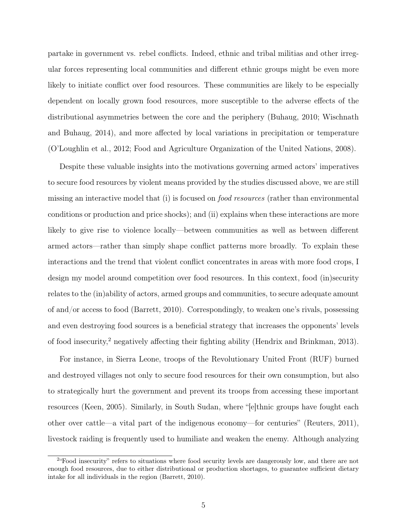partake in government vs. rebel conflicts. Indeed, ethnic and tribal militias and other irregular forces representing local communities and different ethnic groups might be even more likely to initiate conflict over food resources. These communities are likely to be especially dependent on locally grown food resources, more susceptible to the adverse effects of the distributional asymmetries between the core and the periphery (Buhaug, 2010; Wischnath and Buhaug, 2014), and more affected by local variations in precipitation or temperature (O'Loughlin et al., 2012; Food and Agriculture Organization of the United Nations, 2008).

Despite these valuable insights into the motivations governing armed actors' imperatives to secure food resources by violent means provided by the studies discussed above, we are still missing an interactive model that (i) is focused on food resources (rather than environmental conditions or production and price shocks); and (ii) explains when these interactions are more likely to give rise to violence locally—between communities as well as between different armed actors—rather than simply shape conflict patterns more broadly. To explain these interactions and the trend that violent conflict concentrates in areas with more food crops, I design my model around competition over food resources. In this context, food (in)security relates to the (in)ability of actors, armed groups and communities, to secure adequate amount of and/or access to food (Barrett, 2010). Correspondingly, to weaken one's rivals, possessing and even destroying food sources is a beneficial strategy that increases the opponents' levels of food insecurity,<sup>2</sup> negatively affecting their fighting ability (Hendrix and Brinkman, 2013).

For instance, in Sierra Leone, troops of the Revolutionary United Front (RUF) burned and destroyed villages not only to secure food resources for their own consumption, but also to strategically hurt the government and prevent its troops from accessing these important resources (Keen, 2005). Similarly, in South Sudan, where "[e]thnic groups have fought each other over cattle—a vital part of the indigenous economy—for centuries" (Reuters, 2011), livestock raiding is frequently used to humiliate and weaken the enemy. Although analyzing

<sup>&</sup>lt;sup>2</sup>"Food insecurity" refers to situations where food security levels are dangerously low, and there are not enough food resources, due to either distributional or production shortages, to guarantee sufficient dietary intake for all individuals in the region (Barrett, 2010).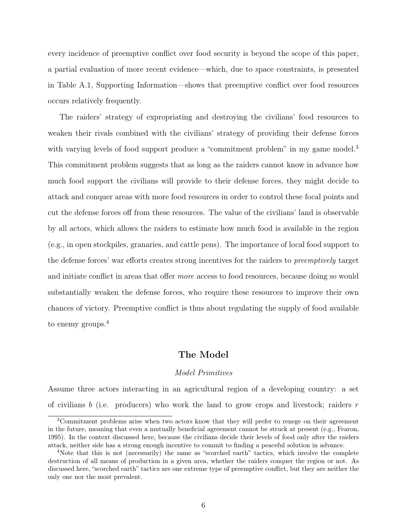every incidence of preemptive conflict over food security is beyond the scope of this paper, a partial evaluation of more recent evidence—which, due to space constraints, is presented in Table A.1, Supporting Information—shows that preemptive conflict over food resources occurs relatively frequently.

The raiders' strategy of expropriating and destroying the civilians' food resources to weaken their rivals combined with the civilians' strategy of providing their defense forces with varying levels of food support produce a "commitment problem" in my game model.<sup>3</sup> This commitment problem suggests that as long as the raiders cannot know in advance how much food support the civilians will provide to their defense forces, they might decide to attack and conquer areas with more food resources in order to control these focal points and cut the defense forces off from these resources. The value of the civilians' land is observable by all actors, which allows the raiders to estimate how much food is available in the region (e.g., in open stockpiles, granaries, and cattle pens). The importance of local food support to the defense forces' war efforts creates strong incentives for the raiders to preemptively target and initiate conflict in areas that offer more access to food resources, because doing so would substantially weaken the defense forces, who require these resources to improve their own chances of victory. Preemptive conflict is thus about regulating the supply of food available to enemy groups.<sup>4</sup>

# The Model

### Model Primitives

Assume three actors interacting in an agricultural region of a developing country: a set of civilians b (i.e. producers) who work the land to grow crops and livestock; raiders  $r$ 

<sup>&</sup>lt;sup>3</sup>Commitment problems arise when two actors know that they will prefer to renege on their agreement in the future, meaning that even a mutually beneficial agreement cannot be struck at present (e.g., Fearon, 1995). In the context discussed here, because the civilians decide their levels of food only after the raiders attack, neither side has a strong enough incentive to commit to finding a peaceful solution in advance.

<sup>&</sup>lt;sup>4</sup>Note that this is not (necessarily) the same as "scorched earth" tactics, which involve the complete destruction of all means of production in a given area, whether the raiders conquer the region or not. As discussed here, "scorched earth" tactics are one extreme type of preemptive conflict, but they are neither the only one nor the most prevalent.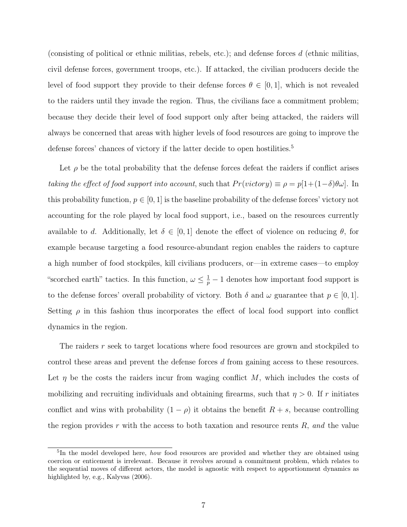(consisting of political or ethnic militias, rebels, etc.); and defense forces  $d$  (ethnic militias, civil defense forces, government troops, etc.). If attacked, the civilian producers decide the level of food support they provide to their defense forces  $\theta \in [0,1]$ , which is not revealed to the raiders until they invade the region. Thus, the civilians face a commitment problem; because they decide their level of food support only after being attacked, the raiders will always be concerned that areas with higher levels of food resources are going to improve the defense forces' chances of victory if the latter decide to open hostilities.<sup>5</sup>

Let  $\rho$  be the total probability that the defense forces defeat the raiders if conflict arises taking the effect of food support into account, such that  $Pr(victory) \equiv \rho = p[1+(1-\delta)\theta\omega]$ . In this probability function,  $p \in [0, 1]$  is the baseline probability of the defense forces' victory not accounting for the role played by local food support, i.e., based on the resources currently available to d. Additionally, let  $\delta \in [0,1]$  denote the effect of violence on reducing  $\theta$ , for example because targeting a food resource-abundant region enables the raiders to capture a high number of food stockpiles, kill civilians producers, or—in extreme cases—to employ "scorched earth" tactics. In this function,  $\omega \leq \frac{1}{p} - 1$  denotes how important food support is to the defense forces' overall probability of victory. Both  $\delta$  and  $\omega$  guarantee that  $p \in [0,1]$ . Setting  $\rho$  in this fashion thus incorporates the effect of local food support into conflict dynamics in the region.

The raiders r seek to target locations where food resources are grown and stockpiled to control these areas and prevent the defense forces d from gaining access to these resources. Let  $\eta$  be the costs the raiders incur from waging conflict M, which includes the costs of mobilizing and recruiting individuals and obtaining firearms, such that  $\eta > 0$ . If r initiates conflict and wins with probability  $(1 - \rho)$  it obtains the benefit  $R + s$ , because controlling the region provides r with the access to both taxation and resource rents  $R$ , and the value

<sup>&</sup>lt;sup>5</sup>In the model developed here, *how* food resources are provided and whether they are obtained using coercion or enticement is irrelevant. Because it revolves around a commitment problem, which relates to the sequential moves of different actors, the model is agnostic with respect to apportionment dynamics as highlighted by, e.g., Kalyvas (2006).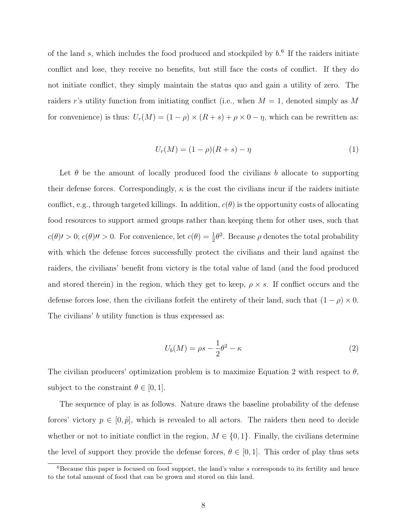of the land  $s$ , which includes the food produced and stockpiled by  $b$ .<sup>6</sup> If the raiders initiate conflict and lose, they receive no benefits, but still face the costs of conflict. If they do not initiate conflict, they simply maintain the status quo and gain a utility of zero. The raiders r's utility function from initiating conflict (i.e., when  $M = 1$ , denoted simply as M for convenience) is thus:  $U_r(M) = (1 - \rho) \times (R + s) + \rho \times 0 - \eta$ , which can be rewritten as:

$$
U_r(M) = (1 - \rho)(R + s) - \eta \tag{1}
$$

Let  $\theta$  be the amount of locally produced food the civilians b allocate to supporting their defense forces. Correspondingly,  $\kappa$  is the cost the civilians incur if the raiders initiate conflict, e.g., through targeted killings. In addition,  $c(\theta)$  is the opportunity costs of allocating food resources to support armed groups rather than keeping them for other uses, such that  $c(\theta)$  > 0;  $c(\theta)$  / > 0. For convenience, let  $c(\theta) = \frac{1}{2}\theta^2$ . Because  $\rho$  denotes the total probability with which the defense forces successfully protect the civilians and their land against the raiders, the civilians' benefit from victory is the total value of land (and the food produced and stored therein) in the region, which they get to keep,  $\rho \times s$ . If conflict occurs and the defense forces lose, then the civilians forfeit the entirety of their land, such that  $(1 - \rho) \times 0$ . The civilians' b utility function is thus expressed as:

$$
U_b(M) = \rho s - \frac{1}{2}\theta^2 - \kappa \tag{2}
$$

The civilian producers' optimization problem is to maximize Equation 2 with respect to  $\theta$ , subject to the constraint  $\theta \in [0, 1]$ .

The sequence of play is as follows. Nature draws the baseline probability of the defense forces' victory  $p \in [0, \hat{p}]$ , which is revealed to all actors. The raiders then need to decide whether or not to initiate conflict in the region,  $M \in \{0,1\}$ . Finally, the civilians determine the level of support they provide the defense forces,  $\theta \in [0, 1]$ . This order of play thus sets

 ${}^{6}$ Because this paper is focused on food support, the land's value s corresponds to its fertility and hence to the total amount of food that can be grown and stored on this land.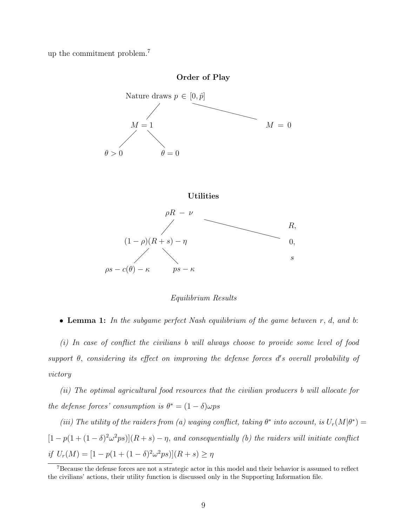up the commitment problem.<sup>7</sup>









Equilibrium Results

• Lemma 1: In the subgame perfect Nash equilibrium of the game between  $r, d, and b$ :

(i) In case of conflict the civilians b will always choose to provide some level of food support  $\theta$ , considering its effect on improving the defense forces d's overall probability of victory

(ii) The optimal agricultural food resources that the civilian producers b will allocate for the defense forces' consumption is  $\theta^* = (1 - \delta)\omega ps$ 

(iii) The utility of the raiders from (a) waging conflict, taking  $\theta^*$  into account, is  $U_r(M|\theta^*) =$  $[1-p(1+(1-\delta)^2\omega^2ps)](R+s)-\eta$ , and consequentially (b) the raiders will initiate conflict if  $U_r(M) = [1 - p(1 + (1 - \delta)^2 \omega^2 ps)](R + s) \ge \eta$ 

<sup>&</sup>lt;sup>7</sup>Because the defense forces are not a strategic actor in this model and their behavior is assumed to reflect the civilians' actions, their utility function is discussed only in the Supporting Information file.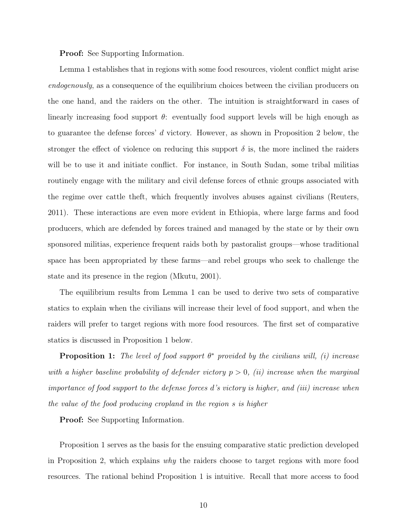Proof: See Supporting Information.

Lemma 1 establishes that in regions with some food resources, violent conflict might arise endogenously, as a consequence of the equilibrium choices between the civilian producers on the one hand, and the raiders on the other. The intuition is straightforward in cases of linearly increasing food support  $\theta$ : eventually food support levels will be high enough as to guarantee the defense forces' d victory. However, as shown in Proposition 2 below, the stronger the effect of violence on reducing this support  $\delta$  is, the more inclined the raiders will be to use it and initiate conflict. For instance, in South Sudan, some tribal militias routinely engage with the military and civil defense forces of ethnic groups associated with the regime over cattle theft, which frequently involves abuses against civilians (Reuters, 2011). These interactions are even more evident in Ethiopia, where large farms and food producers, which are defended by forces trained and managed by the state or by their own sponsored militias, experience frequent raids both by pastoralist groups—whose traditional space has been appropriated by these farms—and rebel groups who seek to challenge the state and its presence in the region (Mkutu, 2001).

The equilibrium results from Lemma 1 can be used to derive two sets of comparative statics to explain when the civilians will increase their level of food support, and when the raiders will prefer to target regions with more food resources. The first set of comparative statics is discussed in Proposition 1 below.

**Proposition 1:** The level of food support  $\theta^*$  provided by the civilians will, (i) increase with a higher baseline probability of defender victory  $p > 0$ , (ii) increase when the marginal importance of food support to the defense forces d's victory is higher, and (iii) increase when the value of the food producing cropland in the region s is higher

Proof: See Supporting Information.

Proposition 1 serves as the basis for the ensuing comparative static prediction developed in Proposition 2, which explains why the raiders choose to target regions with more food resources. The rational behind Proposition 1 is intuitive. Recall that more access to food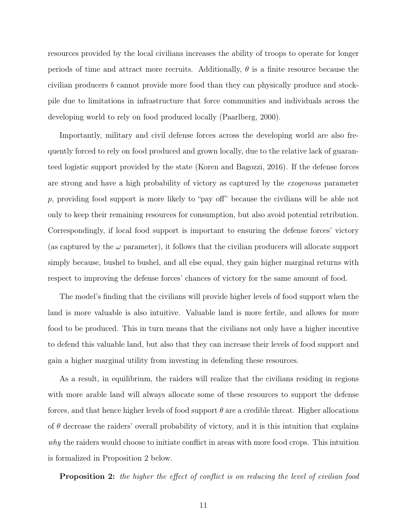resources provided by the local civilians increases the ability of troops to operate for longer periods of time and attract more recruits. Additionally,  $\theta$  is a finite resource because the civilian producers b cannot provide more food than they can physically produce and stockpile due to limitations in infrastructure that force communities and individuals across the developing world to rely on food produced locally (Paarlberg, 2000).

Importantly, military and civil defense forces across the developing world are also frequently forced to rely on food produced and grown locally, due to the relative lack of guaranteed logistic support provided by the state (Koren and Bagozzi, 2016). If the defense forces are strong and have a high probability of victory as captured by the exogenous parameter p, providing food support is more likely to "pay off" because the civilians will be able not only to keep their remaining resources for consumption, but also avoid potential retribution. Correspondingly, if local food support is important to ensuring the defense forces' victory (as captured by the  $\omega$  parameter), it follows that the civilian producers will allocate support simply because, bushel to bushel, and all else equal, they gain higher marginal returns with respect to improving the defense forces' chances of victory for the same amount of food.

The model's finding that the civilians will provide higher levels of food support when the land is more valuable is also intuitive. Valuable land is more fertile, and allows for more food to be produced. This in turn means that the civilians not only have a higher incentive to defend this valuable land, but also that they can increase their levels of food support and gain a higher marginal utility from investing in defending these resources.

As a result, in equilibrium, the raiders will realize that the civilians residing in regions with more arable land will always allocate some of these resources to support the defense forces, and that hence higher levels of food support  $\theta$  are a credible threat. Higher allocations of  $\theta$  decrease the raiders' overall probability of victory, and it is this intuition that explains why the raiders would choose to initiate conflict in areas with more food crops. This intuition is formalized in Proposition 2 below.

**Proposition 2:** the higher the effect of conflict is on reducing the level of civilian food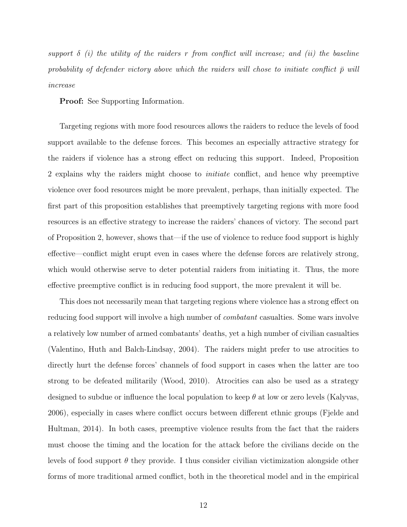support  $\delta$  (i) the utility of the raiders r from conflict will increase; and (ii) the baseline probability of defender victory above which the raiders will chose to initiate conflict  $\bar{p}$  will increase

Proof: See Supporting Information.

Targeting regions with more food resources allows the raiders to reduce the levels of food support available to the defense forces. This becomes an especially attractive strategy for the raiders if violence has a strong effect on reducing this support. Indeed, Proposition 2 explains why the raiders might choose to initiate conflict, and hence why preemptive violence over food resources might be more prevalent, perhaps, than initially expected. The first part of this proposition establishes that preemptively targeting regions with more food resources is an effective strategy to increase the raiders' chances of victory. The second part of Proposition 2, however, shows that—if the use of violence to reduce food support is highly effective—conflict might erupt even in cases where the defense forces are relatively strong, which would otherwise serve to deter potential raiders from initiating it. Thus, the more effective preemptive conflict is in reducing food support, the more prevalent it will be.

This does not necessarily mean that targeting regions where violence has a strong effect on reducing food support will involve a high number of combatant casualties. Some wars involve a relatively low number of armed combatants' deaths, yet a high number of civilian casualties (Valentino, Huth and Balch-Lindsay, 2004). The raiders might prefer to use atrocities to directly hurt the defense forces' channels of food support in cases when the latter are too strong to be defeated militarily (Wood, 2010). Atrocities can also be used as a strategy designed to subdue or influence the local population to keep  $\theta$  at low or zero levels (Kalyvas, 2006), especially in cases where conflict occurs between different ethnic groups (Fjelde and Hultman, 2014). In both cases, preemptive violence results from the fact that the raiders must choose the timing and the location for the attack before the civilians decide on the levels of food support  $\theta$  they provide. I thus consider civilian victimization alongside other forms of more traditional armed conflict, both in the theoretical model and in the empirical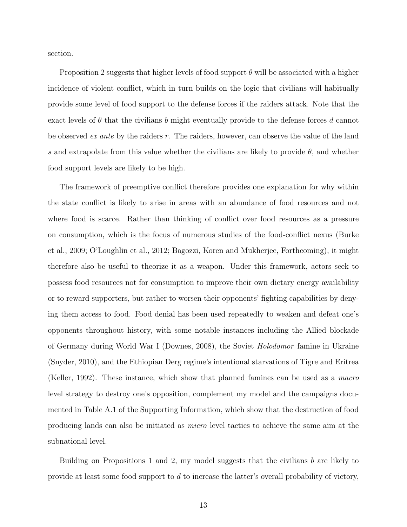section.

Proposition 2 suggests that higher levels of food support  $\theta$  will be associated with a higher incidence of violent conflict, which in turn builds on the logic that civilians will habitually provide some level of food support to the defense forces if the raiders attack. Note that the exact levels of  $\theta$  that the civilians b might eventually provide to the defense forces d cannot be observed *ex ante* by the raiders  $r$ . The raiders, however, can observe the value of the land s and extrapolate from this value whether the civilians are likely to provide  $\theta$ , and whether food support levels are likely to be high.

The framework of preemptive conflict therefore provides one explanation for why within the state conflict is likely to arise in areas with an abundance of food resources and not where food is scarce. Rather than thinking of conflict over food resources as a pressure on consumption, which is the focus of numerous studies of the food-conflict nexus (Burke et al., 2009; O'Loughlin et al., 2012; Bagozzi, Koren and Mukherjee, Forthcoming), it might therefore also be useful to theorize it as a weapon. Under this framework, actors seek to possess food resources not for consumption to improve their own dietary energy availability or to reward supporters, but rather to worsen their opponents' fighting capabilities by denying them access to food. Food denial has been used repeatedly to weaken and defeat one's opponents throughout history, with some notable instances including the Allied blockade of Germany during World War I (Downes, 2008), the Soviet Holodomor famine in Ukraine (Snyder, 2010), and the Ethiopian Derg regime's intentional starvations of Tigre and Eritrea (Keller, 1992). These instance, which show that planned famines can be used as a macro level strategy to destroy one's opposition, complement my model and the campaigns documented in Table A.1 of the Supporting Information, which show that the destruction of food producing lands can also be initiated as micro level tactics to achieve the same aim at the subnational level.

Building on Propositions 1 and 2, my model suggests that the civilians  $b$  are likely to provide at least some food support to d to increase the latter's overall probability of victory,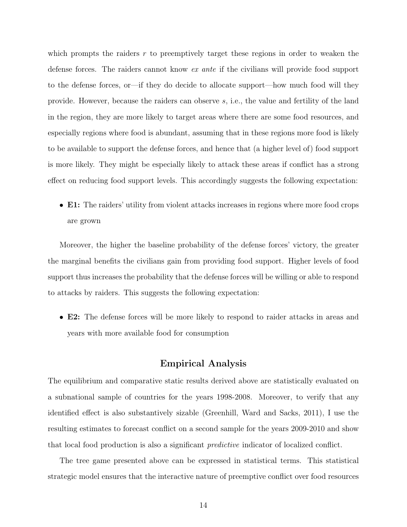which prompts the raiders r to preemptively target these regions in order to weaken the defense forces. The raiders cannot know ex ante if the civilians will provide food support to the defense forces, or—if they do decide to allocate support—how much food will they provide. However, because the raiders can observe s, i.e., the value and fertility of the land in the region, they are more likely to target areas where there are some food resources, and especially regions where food is abundant, assuming that in these regions more food is likely to be available to support the defense forces, and hence that (a higher level of) food support is more likely. They might be especially likely to attack these areas if conflict has a strong effect on reducing food support levels. This accordingly suggests the following expectation:

• E1: The raiders' utility from violent attacks increases in regions where more food crops are grown

Moreover, the higher the baseline probability of the defense forces' victory, the greater the marginal benefits the civilians gain from providing food support. Higher levels of food support thus increases the probability that the defense forces will be willing or able to respond to attacks by raiders. This suggests the following expectation:

• E2: The defense forces will be more likely to respond to raider attacks in areas and years with more available food for consumption

# Empirical Analysis

The equilibrium and comparative static results derived above are statistically evaluated on a subnational sample of countries for the years 1998-2008. Moreover, to verify that any identified effect is also substantively sizable (Greenhill, Ward and Sacks, 2011), I use the resulting estimates to forecast conflict on a second sample for the years 2009-2010 and show that local food production is also a significant predictive indicator of localized conflict.

The tree game presented above can be expressed in statistical terms. This statistical strategic model ensures that the interactive nature of preemptive conflict over food resources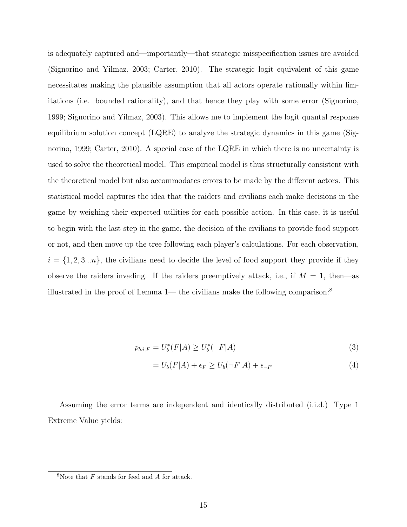is adequately captured and—importantly—that strategic misspecification issues are avoided (Signorino and Yilmaz, 2003; Carter, 2010). The strategic logit equivalent of this game necessitates making the plausible assumption that all actors operate rationally within limitations (i.e. bounded rationality), and that hence they play with some error (Signorino, 1999; Signorino and Yilmaz, 2003). This allows me to implement the logit quantal response equilibrium solution concept  $(LQRE)$  to analyze the strategic dynamics in this game (Signorino, 1999; Carter, 2010). A special case of the LQRE in which there is no uncertainty is used to solve the theoretical model. This empirical model is thus structurally consistent with the theoretical model but also accommodates errors to be made by the different actors. This statistical model captures the idea that the raiders and civilians each make decisions in the game by weighing their expected utilities for each possible action. In this case, it is useful to begin with the last step in the game, the decision of the civilians to provide food support or not, and then move up the tree following each player's calculations. For each observation,  $i = \{1, 2, 3...n\}$ , the civilians need to decide the level of food support they provide if they observe the raiders invading. If the raiders preemptively attack, i.e., if  $M = 1$ , then—as illustrated in the proof of Lemma 1— the civilians make the following comparison:<sup>8</sup>

$$
p_{b,i|F} = U_b^*(F|A) \ge U_b^*(\neg F|A)
$$
\n(3)

$$
= U_b(F|A) + \epsilon_F \ge U_b(\neg F|A) + \epsilon_{\neg F} \tag{4}
$$

Assuming the error terms are independent and identically distributed (i.i.d.) Type 1 Extreme Value yields:

 $8N$ ote that  $F$  stands for feed and  $A$  for attack.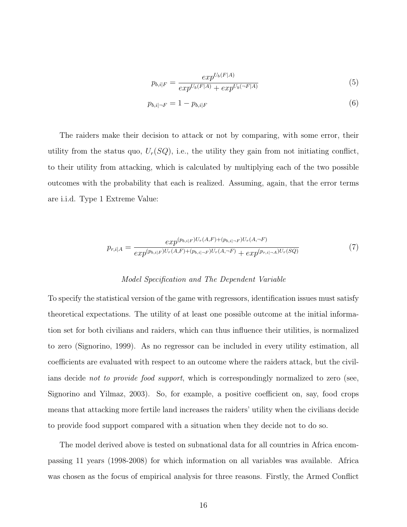$$
p_{b,i|F} = \frac{exp^{U_b(F|A)}}{exp^{U_b(F|A)} + exp^{U_b(\neg F|A)}}\tag{5}
$$

$$
p_{b,i|\neg F} = 1 - p_{b,i|F} \tag{6}
$$

The raiders make their decision to attack or not by comparing, with some error, their utility from the status quo,  $U_r(SQ)$ , i.e., the utility they gain from not initiating conflict, to their utility from attacking, which is calculated by multiplying each of the two possible outcomes with the probability that each is realized. Assuming, again, that the error terms are i.i.d. Type 1 Extreme Value:

$$
p_{r,i|A} = \frac{exp^{(p_{b,i|F})U_r(A,F) + (p_{b,i|-F})U_r(A,-F)}}{exp^{(p_{b,i|F})U_r(A,F) + (p_{b,i|-F})U_r(A,-F)} + exp^{(p_{r,i|-A})U_r(SQ)}}
$$
(7)

#### Model Specification and The Dependent Variable

To specify the statistical version of the game with regressors, identification issues must satisfy theoretical expectations. The utility of at least one possible outcome at the initial information set for both civilians and raiders, which can thus influence their utilities, is normalized to zero (Signorino, 1999). As no regressor can be included in every utility estimation, all coefficients are evaluated with respect to an outcome where the raiders attack, but the civilians decide not to provide food support, which is correspondingly normalized to zero (see, Signorino and Yilmaz, 2003). So, for example, a positive coefficient on, say, food crops means that attacking more fertile land increases the raiders' utility when the civilians decide to provide food support compared with a situation when they decide not to do so.

The model derived above is tested on subnational data for all countries in Africa encompassing 11 years (1998-2008) for which information on all variables was available. Africa was chosen as the focus of empirical analysis for three reasons. Firstly, the Armed Conflict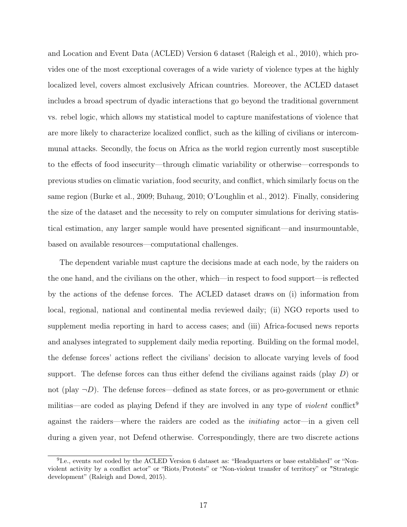and Location and Event Data (ACLED) Version 6 dataset (Raleigh et al., 2010), which provides one of the most exceptional coverages of a wide variety of violence types at the highly localized level, covers almost exclusively African countries. Moreover, the ACLED dataset includes a broad spectrum of dyadic interactions that go beyond the traditional government vs. rebel logic, which allows my statistical model to capture manifestations of violence that are more likely to characterize localized conflict, such as the killing of civilians or intercommunal attacks. Secondly, the focus on Africa as the world region currently most susceptible to the effects of food insecurity—through climatic variability or otherwise—corresponds to previous studies on climatic variation, food security, and conflict, which similarly focus on the same region (Burke et al., 2009; Buhaug, 2010; O'Loughlin et al., 2012). Finally, considering the size of the dataset and the necessity to rely on computer simulations for deriving statistical estimation, any larger sample would have presented significant—and insurmountable, based on available resources—computational challenges.

The dependent variable must capture the decisions made at each node, by the raiders on the one hand, and the civilians on the other, which—in respect to food support—is reflected by the actions of the defense forces. The ACLED dataset draws on (i) information from local, regional, national and continental media reviewed daily; (ii) NGO reports used to supplement media reporting in hard to access cases; and (iii) Africa-focused news reports and analyses integrated to supplement daily media reporting. Building on the formal model, the defense forces' actions reflect the civilians' decision to allocate varying levels of food support. The defense forces can thus either defend the civilians against raids (play  $D$ ) or not (play  $\neg D$ ). The defense forces—defined as state forces, or as pro-government or ethnic militias—are coded as playing Defend if they are involved in any type of *violent* conflict<sup>9</sup> against the raiders—where the raiders are coded as the initiating actor—in a given cell during a given year, not Defend otherwise. Correspondingly, there are two discrete actions

<sup>&</sup>lt;sup>9</sup>I.e., events not coded by the ACLED Version 6 dataset as: "Headquarters or base established" or "Nonviolent activity by a conflict actor" or "Riots/Protests" or "Non-violent transfer of territory" or "Strategic development" (Raleigh and Dowd, 2015).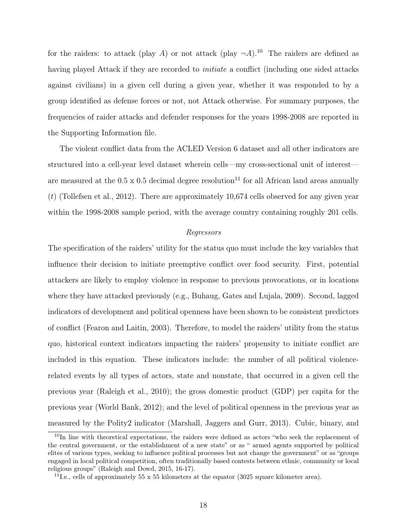for the raiders: to attack (play A) or not attack (play  $\neg A$ ).<sup>10</sup> The raiders are defined as having played Attack if they are recorded to *initiate* a conflict (including one sided attacks against civilians) in a given cell during a given year, whether it was responded to by a group identified as defense forces or not, not Attack otherwise. For summary purposes, the frequencies of raider attacks and defender responses for the years 1998-2008 are reported in the Supporting Information file.

The violent conflict data from the ACLED Version 6 dataset and all other indicators are structured into a cell-year level dataset wherein cells—my cross-sectional unit of interest are measured at the 0.5 x 0.5 decimal degree resolution<sup>11</sup> for all African land areas annually  $(t)$  (Tollefsen et al., 2012). There are approximately 10,674 cells observed for any given year within the 1998-2008 sample period, with the average country containing roughly 201 cells.

#### Regressors

The specification of the raiders' utility for the status quo must include the key variables that influence their decision to initiate preemptive conflict over food security. First, potential attackers are likely to employ violence in response to previous provocations, or in locations where they have attacked previously (e.g., Buhaug, Gates and Lujala, 2009). Second, lagged indicators of development and political openness have been shown to be consistent predictors of conflict (Fearon and Laitin, 2003). Therefore, to model the raiders' utility from the status quo, historical context indicators impacting the raiders' propensity to initiate conflict are included in this equation. These indicators include: the number of all political violencerelated events by all types of actors, state and nonstate, that occurred in a given cell the previous year (Raleigh et al., 2010); the gross domestic product (GDP) per capita for the previous year (World Bank, 2012); and the level of political openness in the previous year as measured by the Polity2 indicator (Marshall, Jaggers and Gurr, 2013). Cubic, binary, and

<sup>&</sup>lt;sup>10</sup>In line with theoretical expectations, the raiders were defined as actors "who seek the replacement of the central government, or the establishment of a new state" or as " armed agents supported by political elites of various types, seeking to influence political processes but not change the government" or as "groups engaged in local political competition, often traditionally based contests between ethnic, community or local religious groups" (Raleigh and Dowd, 2015, 16-17).

<sup>&</sup>lt;sup>11</sup>I.e., cells of approximately 55 x 55 kilometers at the equator (3025 square kilometer area).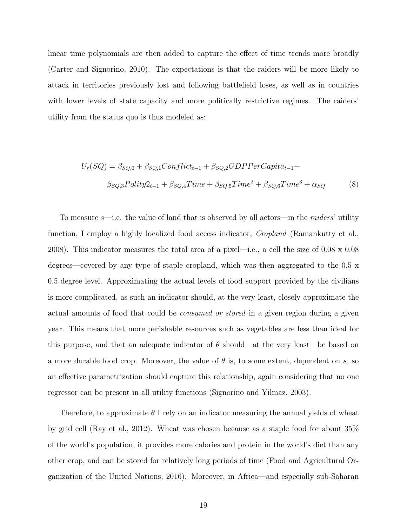linear time polynomials are then added to capture the effect of time trends more broadly (Carter and Signorino, 2010). The expectations is that the raiders will be more likely to attack in territories previously lost and following battlefield loses, as well as in countries with lower levels of state capacity and more politically restrictive regimes. The raiders' utility from the status quo is thus modeled as:

$$
U_r(SQ) = \beta_{SQ,0} + \beta_{SQ,1} Conflict_{t-1} + \beta_{SQ,2} GDPPerCapita_{t-1} +
$$
  

$$
\beta_{SQ,3} Polity2_{t-1} + \beta_{SQ,4} Time + \beta_{SQ,5} Time^2 + \beta_{SQ,6} Time^3 + \alpha_{SQ}
$$
 (8)

To measure  $s$ —i.e. the value of land that is observed by all actors—in the *raiders*' utility function, I employ a highly localized food access indicator, *Cropland* (Ramankutty et al., 2008). This indicator measures the total area of a pixel—i.e., a cell the size of 0.08 x 0.08 degrees—covered by any type of staple cropland, which was then aggregated to the 0.5 x 0.5 degree level. Approximating the actual levels of food support provided by the civilians is more complicated, as such an indicator should, at the very least, closely approximate the actual amounts of food that could be consumed or stored in a given region during a given year. This means that more perishable resources such as vegetables are less than ideal for this purpose, and that an adequate indicator of  $\theta$  should—at the very least—be based on a more durable food crop. Moreover, the value of  $\theta$  is, to some extent, dependent on s, so an effective parametrization should capture this relationship, again considering that no one regressor can be present in all utility functions (Signorino and Yilmaz, 2003).

Therefore, to approximate  $\theta$  I rely on an indicator measuring the annual yields of wheat by grid cell (Ray et al., 2012). Wheat was chosen because as a staple food for about 35% of the world's population, it provides more calories and protein in the world's diet than any other crop, and can be stored for relatively long periods of time (Food and Agricultural Organization of the United Nations, 2016). Moreover, in Africa—and especially sub-Saharan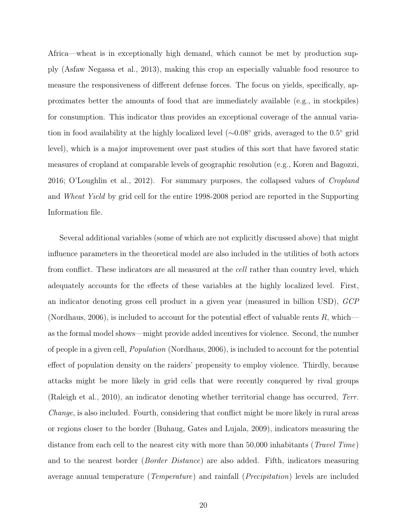Africa—wheat is in exceptionally high demand, which cannot be met by production supply (Asfaw Negassa et al., 2013), making this crop an especially valuable food resource to measure the responsiveness of different defense forces. The focus on yields, specifically, approximates better the amounts of food that are immediately available (e.g., in stockpiles) for consumption. This indicator thus provides an exceptional coverage of the annual variation in food availability at the highly localized level (∼0.08◦ grids, averaged to the 0.5◦ grid level), which is a major improvement over past studies of this sort that have favored static measures of cropland at comparable levels of geographic resolution (e.g., Koren and Bagozzi, 2016; O'Loughlin et al., 2012). For summary purposes, the collapsed values of *Cropland* and Wheat Yield by grid cell for the entire 1998-2008 period are reported in the Supporting Information file.

Several additional variables (some of which are not explicitly discussed above) that might influence parameters in the theoretical model are also included in the utilities of both actors from conflict. These indicators are all measured at the *cell* rather than country level, which adequately accounts for the effects of these variables at the highly localized level. First, an indicator denoting gross cell product in a given year (measured in billion USD), GCP (Nordhaus, 2006), is included to account for the potential effect of valuable rents  $R$ , which as the formal model shows—might provide added incentives for violence. Second, the number of people in a given cell, Population (Nordhaus, 2006), is included to account for the potential effect of population density on the raiders' propensity to employ violence. Thirdly, because attacks might be more likely in grid cells that were recently conquered by rival groups (Raleigh et al., 2010), an indicator denoting whether territorial change has occurred, Terr. Change, is also included. Fourth, considering that conflict might be more likely in rural areas or regions closer to the border (Buhaug, Gates and Lujala, 2009), indicators measuring the distance from each cell to the nearest city with more than 50,000 inhabitants (*Travel Time*) and to the nearest border (*Border Distance*) are also added. Fifth, indicators measuring average annual temperature (Temperature) and rainfall (Precipitation) levels are included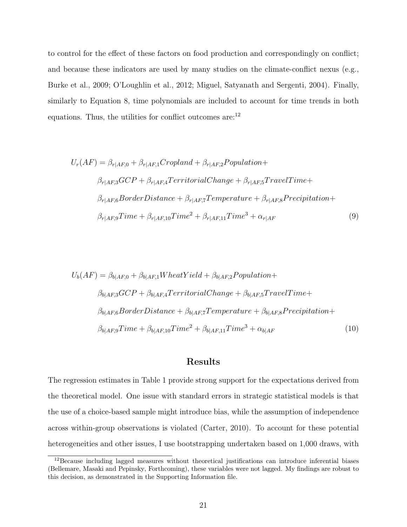to control for the effect of these factors on food production and correspondingly on conflict; and because these indicators are used by many studies on the climate-conflict nexus (e.g., Burke et al., 2009; O'Loughlin et al., 2012; Miguel, Satyanath and Sergenti, 2004). Finally, similarly to Equation 8, time polynomials are included to account for time trends in both equations. Thus, the utilities for conflict outcomes are:<sup>12</sup>

$$
U_r(AF) = \beta_{r|AF,0} + \beta_{r|AF,1} Cropland + \beta_{r|AF,2} Population +
$$
  
\n
$$
\beta_{r|AF,3} GCP + \beta_{r|AF,4} TerritorialChange + \beta_{r|AF,5} TravelTime +
$$
  
\n
$$
\beta_{r|AF,6} Border Distance + \beta_{r|AF,7} Temperature + \beta_{r|AF,8} Precision +
$$
  
\n
$$
\beta_{r|AF,9} Time + \beta_{r|AF,10} Time^2 + \beta_{r|AF,11} Time^3 + \alpha_{r|AF}
$$
 (9)

$$
U_b(AF) = \beta_{b|AF,0} + \beta_{b|AF,1} W heat Yield + \beta_{b|AF,2} Population +
$$
  
\n
$$
\beta_{b|AF,3} GCP + \beta_{b|AF,4} TerriticalChange + \beta_{b|AF,5} TravelTime +
$$
  
\n
$$
\beta_{b|AF,6} B order Distance + \beta_{b|AF,7} Temperature + \beta_{b|AF,8} Precision +
$$
  
\n
$$
\beta_{b|AF,9} Time + \beta_{b|AF,10} Time^2 + \beta_{b|AF,11} Time^3 + \alpha_{b|AF}
$$
\n(10)

# Results

The regression estimates in Table 1 provide strong support for the expectations derived from the theoretical model. One issue with standard errors in strategic statistical models is that the use of a choice-based sample might introduce bias, while the assumption of independence across within-group observations is violated (Carter, 2010). To account for these potential heterogeneities and other issues, I use bootstrapping undertaken based on 1,000 draws, with

<sup>12</sup>Because including lagged measures without theoretical justifications can introduce inferential biases (Bellemare, Masaki and Pepinsky, Forthcoming), these variables were not lagged. My findings are robust to this decision, as demonstrated in the Supporting Information file.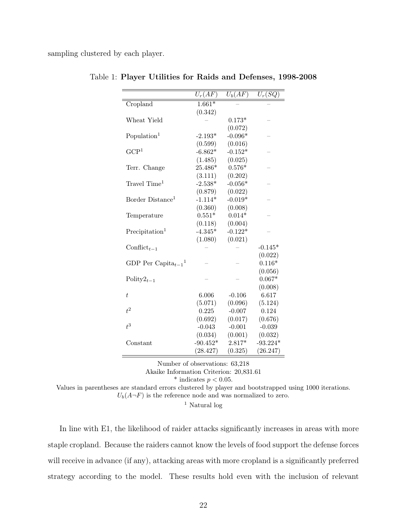sampling clustered by each player.

|                                      | $U_r(AF)$  | $U_b(\overline{AF)}$ | $U_r(\overline{SQ})$ |
|--------------------------------------|------------|----------------------|----------------------|
| Cropland                             | $1.661*$   |                      |                      |
|                                      | (0.342)    |                      |                      |
| Wheat Yield                          |            | $0.173*$             |                      |
|                                      |            | (0.072)              |                      |
| Population <sup>1</sup>              | $-2.193*$  | $-0.096*$            |                      |
|                                      | (0.599)    | (0.016)              |                      |
| $\mathrm{GCP}^1$                     | $-6.862*$  | $-0.152*$            |                      |
|                                      | (1.485)    | (0.025)              |                      |
| Terr. Change                         | 25.486*    | $0.576*$             |                      |
|                                      | (3.111)    | (0.202)              |                      |
| Travel Time <sup>1</sup>             | $-2.538*$  | $-0.056*$            |                      |
|                                      | (0.879)    | (0.022)              |                      |
| Border Distance <sup>1</sup>         | $-1.114*$  | $-0.019*$            |                      |
|                                      | (0.360)    | (0.008)              |                      |
| Temperature                          | $0.551*$   | $0.014*$             |                      |
|                                      | (0.118)    | (0.004)              |                      |
| Precipitation <sup>1</sup>           | $-4.345*$  | $-0.122*$            |                      |
|                                      | (1.080)    | (0.021)              |                      |
| Conflict <sub>t-1</sub>              |            |                      | $-0.145*$            |
|                                      |            |                      | (0.022)              |
| GDP Per Capita $_{t-1}$ <sup>1</sup> |            |                      | $0.116*$             |
|                                      |            |                      | (0.056)              |
| Polity $2_{t-1}$                     |            |                      | $0.067*$             |
|                                      |            |                      | (0.008)              |
| $\bar{t}$                            | 6.006      | $-0.106$             | 6.617                |
|                                      | (5.071)    | (0.096)              | (5.124)              |
| $t^2$                                | 0.225      | $-0.007$             | 0.124                |
|                                      | (0.692)    | (0.017)              | (0.676)              |
| $t^3$                                | $-0.043$   | $-0.001$             | $-0.039$             |
|                                      | (0.034)    | (0.001)              | (0.032)              |
| Constant                             | $-90.452*$ | $2.817*$             | $-93.224*$           |
|                                      | (28.427)   | (0.325)              | (26.247)             |

| Table 1: Player Utilities for Raids and Defenses, 1998-2008 |  |  |  |  |  |
|-------------------------------------------------------------|--|--|--|--|--|
|-------------------------------------------------------------|--|--|--|--|--|

Number of observations: 63,218

Akaike Information Criterion: 20,831.61

\* indicates  $p < 0.05$ .

Values in parentheses are standard errors clustered by player and bootstrapped using 1000 iterations.

 $U_b(A\neg F)$  is the reference node and was normalized to zero.

<sup>1</sup> Natural log

In line with E1, the likelihood of raider attacks significantly increases in areas with more staple cropland. Because the raiders cannot know the levels of food support the defense forces will receive in advance (if any), attacking areas with more cropland is a significantly preferred strategy according to the model. These results hold even with the inclusion of relevant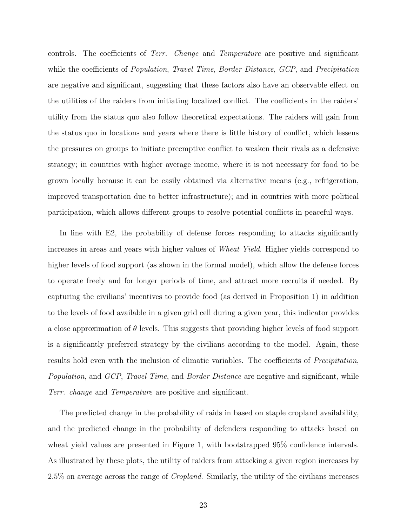controls. The coefficients of *Terr. Change* and *Temperature* are positive and significant while the coefficients of *Population, Travel Time, Border Distance, GCP*, and *Precipitation* are negative and significant, suggesting that these factors also have an observable effect on the utilities of the raiders from initiating localized conflict. The coefficients in the raiders' utility from the status quo also follow theoretical expectations. The raiders will gain from the status quo in locations and years where there is little history of conflict, which lessens the pressures on groups to initiate preemptive conflict to weaken their rivals as a defensive strategy; in countries with higher average income, where it is not necessary for food to be grown locally because it can be easily obtained via alternative means (e.g., refrigeration, improved transportation due to better infrastructure); and in countries with more political participation, which allows different groups to resolve potential conflicts in peaceful ways.

In line with E2, the probability of defense forces responding to attacks significantly increases in areas and years with higher values of Wheat Yield. Higher yields correspond to higher levels of food support (as shown in the formal model), which allow the defense forces to operate freely and for longer periods of time, and attract more recruits if needed. By capturing the civilians' incentives to provide food (as derived in Proposition 1) in addition to the levels of food available in a given grid cell during a given year, this indicator provides a close approximation of  $\theta$  levels. This suggests that providing higher levels of food support is a significantly preferred strategy by the civilians according to the model. Again, these results hold even with the inclusion of climatic variables. The coefficients of *Precipitation*, Population, and GCP, Travel Time, and Border Distance are negative and significant, while Terr. change and Temperature are positive and significant.

The predicted change in the probability of raids in based on staple cropland availability, and the predicted change in the probability of defenders responding to attacks based on wheat yield values are presented in Figure 1, with bootstrapped 95% confidence intervals. As illustrated by these plots, the utility of raiders from attacking a given region increases by 2.5% on average across the range of Cropland. Similarly, the utility of the civilians increases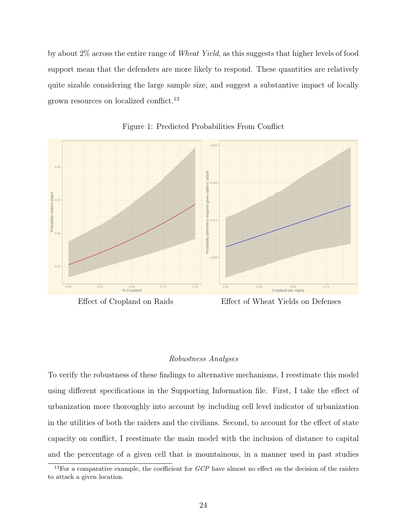by about 2% across the entire range of Wheat Yield, as this suggests that higher levels of food support mean that the defenders are more likely to respond. These quantities are relatively quite sizable considering the large sample size, and suggest a substantive impact of locally grown resources on localized conflict.<sup>13</sup>



Figure 1: Predicted Probabilities From Conflict



Effect of Wheat Yields on Defenses

#### Robustness Analyses

To verify the robustness of these findings to alternative mechanisms, I reestimate this model using different specifications in the Supporting Information file. First, I take the effect of urbanization more thoroughly into account by including cell level indicator of urbanization in the utilities of both the raiders and the civilians. Second, to account for the effect of state capacity on conflict, I reestimate the main model with the inclusion of distance to capital and the percentage of a given cell that is mountainous, in a manner used in past studies

 $13$ For a comparative example, the coefficient for  $GCP$  have almost no effect on the decision of the raiders to attack a given location.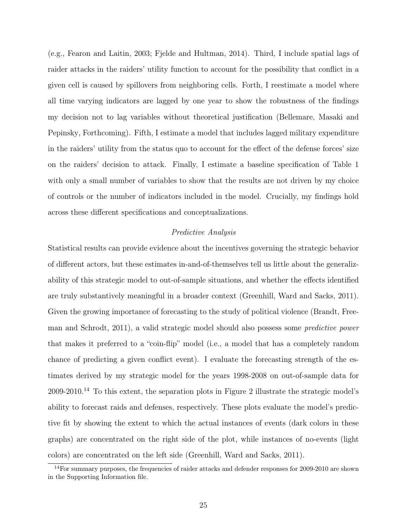(e.g., Fearon and Laitin, 2003; Fjelde and Hultman, 2014). Third, I include spatial lags of raider attacks in the raiders' utility function to account for the possibility that conflict in a given cell is caused by spillovers from neighboring cells. Forth, I reestimate a model where all time varying indicators are lagged by one year to show the robustness of the findings my decision not to lag variables without theoretical justification (Bellemare, Masaki and Pepinsky, Forthcoming). Fifth, I estimate a model that includes lagged military expenditure in the raiders' utility from the status quo to account for the effect of the defense forces' size on the raiders' decision to attack. Finally, I estimate a baseline specification of Table 1 with only a small number of variables to show that the results are not driven by my choice of controls or the number of indicators included in the model. Crucially, my findings hold across these different specifications and conceptualizations.

## Predictive Analysis

Statistical results can provide evidence about the incentives governing the strategic behavior of different actors, but these estimates in-and-of-themselves tell us little about the generalizability of this strategic model to out-of-sample situations, and whether the effects identified are truly substantively meaningful in a broader context (Greenhill, Ward and Sacks, 2011). Given the growing importance of forecasting to the study of political violence (Brandt, Freeman and Schrodt, 2011), a valid strategic model should also possess some predictive power that makes it preferred to a "coin-flip" model (i.e., a model that has a completely random chance of predicting a given conflict event). I evaluate the forecasting strength of the estimates derived by my strategic model for the years 1998-2008 on out-of-sample data for  $2009-2010<sup>14</sup>$  To this extent, the separation plots in Figure 2 illustrate the strategic model's ability to forecast raids and defenses, respectively. These plots evaluate the model's predictive fit by showing the extent to which the actual instances of events (dark colors in these graphs) are concentrated on the right side of the plot, while instances of no-events (light colors) are concentrated on the left side (Greenhill, Ward and Sacks, 2011).

 $\frac{14}{14}$  For summary purposes, the frequencies of raider attacks and defender responses for 2009-2010 are shown in the Supporting Information file.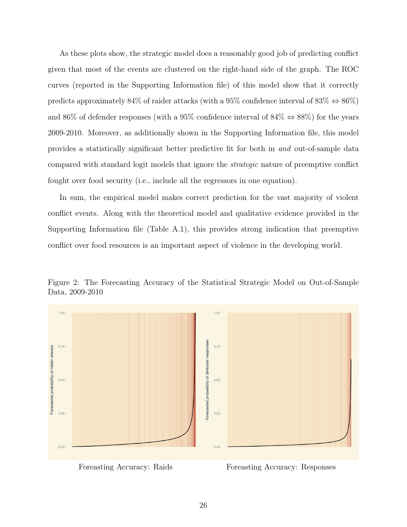As these plots show, the strategic model does a reasonably good job of predicting conflict given that most of the events are clustered on the right-hand side of the graph. The ROC curves (reported in the Supporting Information file) of this model show that it correctly predicts approximately 84% of raider attacks (with a 95% confidence interval of 83%  $\Leftrightarrow$  86%) and 86% of defender responses (with a 95% confidence interval of 84%  $\Leftrightarrow$  88%) for the years 2009-2010. Moreover, as additionally shown in the Supporting Information file, this model provides a statistically significant better predictive fit for both in and out-of-sample data compared with standard logit models that ignore the strategic nature of preemptive conflict fought over food security (i.e., include all the regressors in one equation).

In sum, the empirical model makes correct prediction for the vast majority of violent conflict events. Along with the theoretical model and qualitative evidence provided in the Supporting Information file (Table A.1), this provides strong indication that preemptive conflict over food resources is an important aspect of violence in the developing world.





Foreasting Accuracy: Raids Foreasting Accuracy: Responses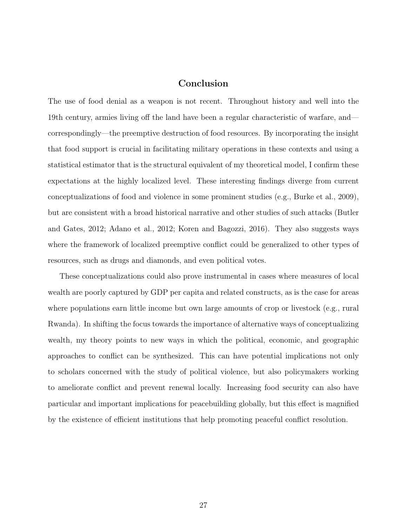# Conclusion

The use of food denial as a weapon is not recent. Throughout history and well into the 19th century, armies living off the land have been a regular characteristic of warfare, and correspondingly—the preemptive destruction of food resources. By incorporating the insight that food support is crucial in facilitating military operations in these contexts and using a statistical estimator that is the structural equivalent of my theoretical model, I confirm these expectations at the highly localized level. These interesting findings diverge from current conceptualizations of food and violence in some prominent studies (e.g., Burke et al., 2009), but are consistent with a broad historical narrative and other studies of such attacks (Butler and Gates, 2012; Adano et al., 2012; Koren and Bagozzi, 2016). They also suggests ways where the framework of localized preemptive conflict could be generalized to other types of resources, such as drugs and diamonds, and even political votes.

These conceptualizations could also prove instrumental in cases where measures of local wealth are poorly captured by GDP per capita and related constructs, as is the case for areas where populations earn little income but own large amounts of crop or livestock (e.g., rural Rwanda). In shifting the focus towards the importance of alternative ways of conceptualizing wealth, my theory points to new ways in which the political, economic, and geographic approaches to conflict can be synthesized. This can have potential implications not only to scholars concerned with the study of political violence, but also policymakers working to ameliorate conflict and prevent renewal locally. Increasing food security can also have particular and important implications for peacebuilding globally, but this effect is magnified by the existence of efficient institutions that help promoting peaceful conflict resolution.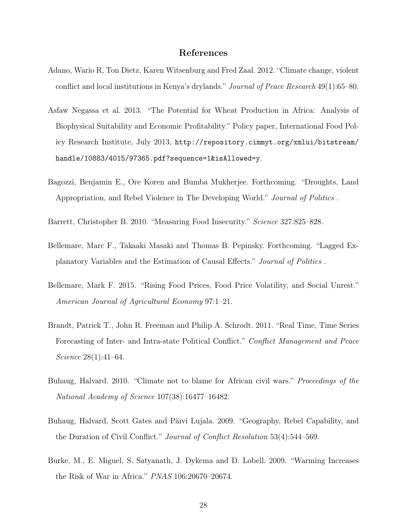## References

- Adano, Wario R, Ton Dietz, Karen Witsenburg and Fred Zaal. 2012. "Climate change, violent conflict and local institutions in Kenya's drylands." Journal of Peace Research 49(1):65–80.
- Asfaw Negassa et al. 2013. "The Potential for Wheat Production in Africa: Analysis of Biophysical Suitability and Economic Profitability." Policy paper, International Food Policy Research Institute, July 2013, http://repository.cimmyt.org/xmlui/bitstream/ handle/10883/4015/97365.pdf?sequence=1&isAllowed=y.
- Bagozzi, Benjamin E., Ore Koren and Bumba Mukherjee. Forthcoming. "Droughts, Land Appropriation, and Rebel Violence in The Developing World." Journal of Politics .
- Barrett, Christopher B. 2010. "Measuring Food Insecurity." Science 327:825–828.
- Bellemare, Marc F., Takaaki Masaki and Thomas B. Pepinsky. Forthcoming. "Lagged Explanatory Variables and the Estimation of Causal Effects." Journal of Politics .
- Bellemare, Mark F. 2015. "Rising Food Prices, Food Price Volatility, and Social Unrest." American Journal of Agricultural Economy 97:1–21.
- Brandt, Patrick T., John R. Freeman and Philip A. Schrodt. 2011. "Real Time, Time Series Forecasting of Inter- and Intra-state Political Conflict." Conflict Management and Peace Science 28(1):41–64.
- Buhaug, Halvard. 2010. "Climate not to blame for African civil wars." Proceedings of the National Academy of Science 107(38):16477–16482.
- Buhaug, Halvard, Scott Gates and Päivi Lujala. 2009. "Geography, Rebel Capability, and the Duration of Civil Conflict." Journal of Conflict Resolution 53(4):544–569.
- Burke, M., E. Miguel, S. Satyanath, J. Dykema and D. Lobell. 2009. "Warming Increases the Risk of War in Africa." PNAS 106:20670–20674.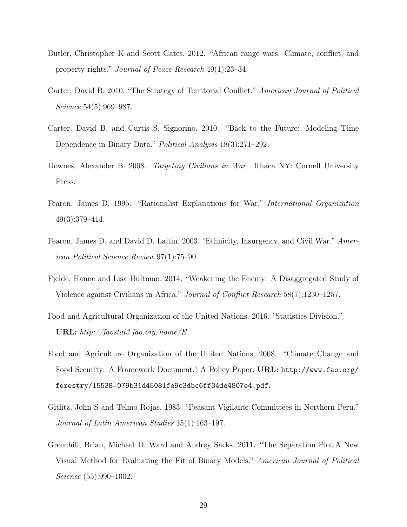- Butler, Christopher K and Scott Gates. 2012. "African range wars: Climate, conflict, and property rights." Journal of Peace Research 49(1):23–34.
- Carter, David B. 2010. "The Strategy of Territorial Conflict." American Journal of Political Science 54(5):969–987.
- Carter, David B. and Curtis S. Signorino. 2010. "Back to the Future: Modeling Time Dependence in Binary Data." Political Analysis 18(3):271–292.
- Downes, Alexander B. 2008. *Targeting Civilians in War*. Ithaca NY: Cornell University Press.
- Fearon, James D. 1995. "Rationalist Explanations for War." International Organization 49(3):379–414.
- Fearon, James D. and David D. Laitin. 2003. "Ethnicity, Insurgency, and Civil War." American Political Science Review 97(1):75–90.
- Fjelde, Hanne and Lisa Hultman. 2014. "Weakening the Enemy: A Disaggregated Study of Violence against Civilians in Africa." Journal of Conflict Research 58(7):1230–1257.
- Food and Agricultural Organization of the United Nations. 2016. "Statistics Division.". URL:  $\frac{http://faostat3.fao.org/home/E}{$
- Food and Agriculture Organization of the United Nations. 2008. "Climate Change and Food Security: A Framework Document." A Policy Paper. URL: http://www.fao.org/ forestry/15538-079b31d45081fe9c3dbc6ff34de4807e4.pdf.
- Gitlitz, John S and Telmo Rojas. 1983. "Peasant Vigilante Committees in Northern Peru." Journal of Latin American Studies 15(1):163–197.
- Greenhill, Brian, Michael D. Ward and Audrey Sacks. 2011. "The Separation Plot:A New Visual Method for Evaluating the Fit of Binary Models." American Journal of Political Science (55):990–1002.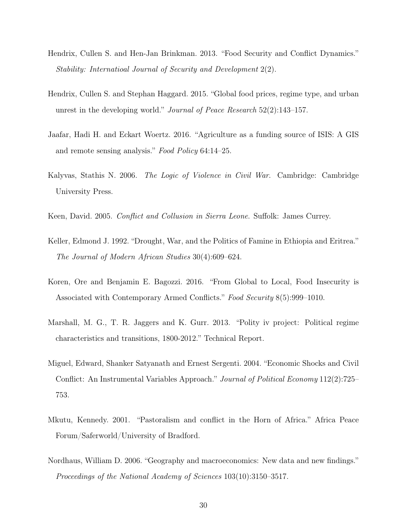- Hendrix, Cullen S. and Hen-Jan Brinkman. 2013. "Food Security and Conflict Dynamics." Stability: Internatioal Journal of Security and Development 2(2).
- Hendrix, Cullen S. and Stephan Haggard. 2015. "Global food prices, regime type, and urban unrest in the developing world." Journal of Peace Research 52(2):143–157.
- Jaafar, Hadi H. and Eckart Woertz. 2016. "Agriculture as a funding source of ISIS: A GIS and remote sensing analysis." Food Policy 64:14–25.
- Kalyvas, Stathis N. 2006. The Logic of Violence in Civil War. Cambridge: Cambridge University Press.
- Keen, David. 2005. Conflict and Collusion in Sierra Leone. Suffolk: James Currey.
- Keller, Edmond J. 1992. "Drought, War, and the Politics of Famine in Ethiopia and Eritrea." The Journal of Modern African Studies 30(4):609–624.
- Koren, Ore and Benjamin E. Bagozzi. 2016. "From Global to Local, Food Insecurity is Associated with Contemporary Armed Conflicts." Food Security 8(5):999–1010.
- Marshall, M. G., T. R. Jaggers and K. Gurr. 2013. "Polity iv project: Political regime characteristics and transitions, 1800-2012." Technical Report.
- Miguel, Edward, Shanker Satyanath and Ernest Sergenti. 2004. "Economic Shocks and Civil Conflict: An Instrumental Variables Approach." Journal of Political Economy 112(2):725– 753.
- Mkutu, Kennedy. 2001. "Pastoralism and conflict in the Horn of Africa." Africa Peace Forum/Saferworld/University of Bradford.
- Nordhaus, William D. 2006. "Geography and macroeconomics: New data and new findings." Proceedings of the National Academy of Sciences 103(10):3150–3517.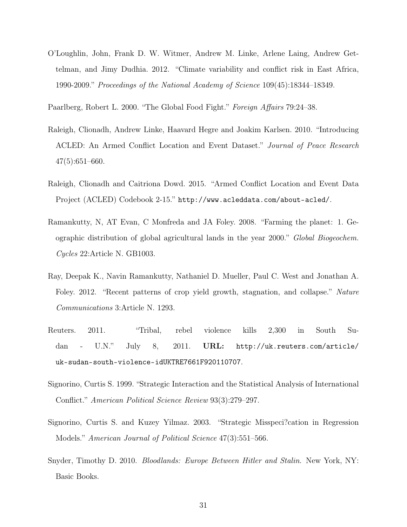O'Loughlin, John, Frank D. W. Witmer, Andrew M. Linke, Arlene Laing, Andrew Gettelman, and Jimy Dudhia. 2012. "Climate variability and conflict risk in East Africa, 1990-2009." Proceedings of the National Academy of Science 109(45):18344–18349.

Paarlberg, Robert L. 2000. "The Global Food Fight." Foreign Affairs 79:24–38.

- Raleigh, Clionadh, Andrew Linke, Haavard Hegre and Joakim Karlsen. 2010. "Introducing ACLED: An Armed Conflict Location and Event Dataset." Journal of Peace Research 47(5):651–660.
- Raleigh, Clionadh and Caitriona Dowd. 2015. "Armed Conflict Location and Event Data Project (ACLED) Codebook 2-15." http://www.acleddata.com/about-acled/.
- Ramankutty, N, AT Evan, C Monfreda and JA Foley. 2008. "Farming the planet: 1. Geographic distribution of global agricultural lands in the year 2000." Global Biogeochem. Cycles 22:Article N. GB1003.
- Ray, Deepak K., Navin Ramankutty, Nathaniel D. Mueller, Paul C. West and Jonathan A. Foley. 2012. "Recent patterns of crop yield growth, stagnation, and collapse." Nature Communications 3:Article N. 1293.
- Reuters. 2011. "Tribal, rebel violence kills 2,300 in South Sudan - U.N." July 8, 2011. URL: http://uk.reuters.com/article/ uk-sudan-south-violence-idUKTRE7661F920110707.
- Signorino, Curtis S. 1999. "Strategic Interaction and the Statistical Analysis of International Conflict." American Political Science Review 93(3):279–297.
- Signorino, Curtis S. and Kuzey Yilmaz. 2003. "Strategic Misspeci?cation in Regression Models." American Journal of Political Science 47(3):551–566.
- Snyder, Timothy D. 2010. Bloodlands: Europe Between Hitler and Stalin. New York, NY: Basic Books.